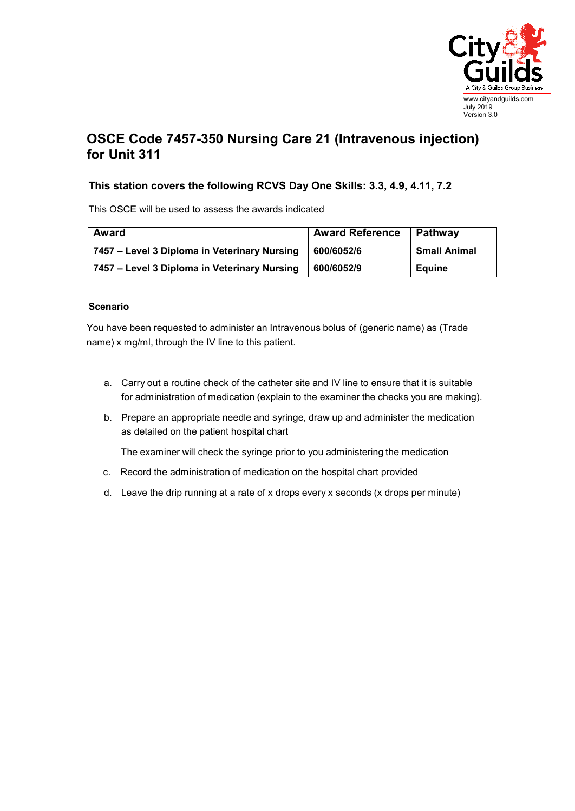

## **OSCE Code 7457-350 Nursing Care 21 (Intravenous injection) for Unit 311**

## **This station covers the following RCVS Day One Skills: 3.3, 4.9, 4.11, 7.2**

This OSCE will be used to assess the awards indicated

| <b>Award</b>                                 | <b>Award Reference</b> | Pathway             |
|----------------------------------------------|------------------------|---------------------|
| 7457 – Level 3 Diploma in Veterinary Nursing | 600/6052/6             | <b>Small Animal</b> |
| 7457 – Level 3 Diploma in Veterinary Nursing | 600/6052/9             | <b>Equine</b>       |

## **Scenario**

You have been requested to administer an Intravenous bolus of (generic name) as (Trade name) x mg/ml, through the IV line to this patient.

- a. Carry out a routine check of the catheter site and IV line to ensure that it is suitable for administration of medication (explain to the examiner the checks you are making).
- b. Prepare an appropriate needle and syringe, draw up and administer the medication as detailed on the patient hospital chart

The examiner will check the syringe prior to you administering the medication

- c. Record the administration of medication on the hospital chart provided
- d. Leave the drip running at a rate of x drops every x seconds (x drops per minute)